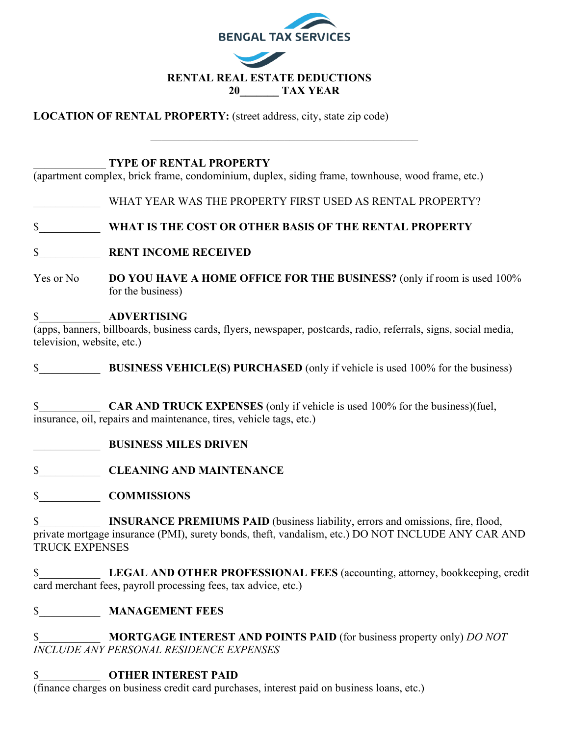

**LOCATION OF RENTAL PROPERTY:** (street address, city, state zip code)

#### \_\_\_\_\_\_\_\_\_\_\_\_\_ **TYPE OF RENTAL PROPERTY**

(apartment complex, brick frame, condominium, duplex, siding frame, townhouse, wood frame, etc.)

WHAT YEAR WAS THE PROPERTY FIRST USED AS RENTAL PROPERTY?

\$\_\_\_\_\_\_\_\_\_\_\_ **WHAT IS THE COST OR OTHER BASIS OF THE RENTAL PROPERTY**

\$\_\_\_\_\_\_\_\_\_\_\_ **RENT INCOME RECEIVED**

Yes or No **DO YOU HAVE A HOME OFFICE FOR THE BUSINESS?** (only if room is used 100% for the business)

### \$\_\_\_\_\_\_\_\_\_\_\_ **ADVERTISING**

(apps, banners, billboards, business cards, flyers, newspaper, postcards, radio, referrals, signs, social media, television, website, etc.)

**S** BUSINESS VEHICLE(S) PURCHASED (only if vehicle is used 100% for the business)

\$\_\_\_\_\_\_\_\_\_\_\_ **CAR AND TRUCK EXPENSES** (only if vehicle is used 100% for the business)(fuel, insurance, oil, repairs and maintenance, tires, vehicle tags, etc.)

\_\_\_\_\_\_\_\_\_\_\_\_ **BUSINESS MILES DRIVEN**

\$\_\_\_\_\_\_\_\_\_\_\_ **CLEANING AND MAINTENANCE**

\$\_\_\_\_\_\_\_\_\_\_\_ **COMMISSIONS**

\$ **INSURANCE PREMIUMS PAID** (business liability, errors and omissions, fire, flood, private mortgage insurance (PMI), surety bonds, theft, vandalism, etc.) DO NOT INCLUDE ANY CAR AND TRUCK EXPENSES

\$\_\_\_\_\_\_\_\_\_\_\_ **LEGAL AND OTHER PROFESSIONAL FEES** (accounting, attorney, bookkeeping, credit card merchant fees, payroll processing fees, tax advice, etc.)

### \$\_\_\_\_\_\_\_\_\_\_\_ **MANAGEMENT FEES**

\$\_\_\_\_\_\_\_\_\_\_\_ **MORTGAGE INTEREST AND POINTS PAID** (for business property only) *DO NOT INCLUDE ANY PERSONAL RESIDENCE EXPENSES*

## \$\_\_\_\_\_\_\_\_\_\_\_ **OTHER INTEREST PAID**

(finance charges on business credit card purchases, interest paid on business loans, etc.)